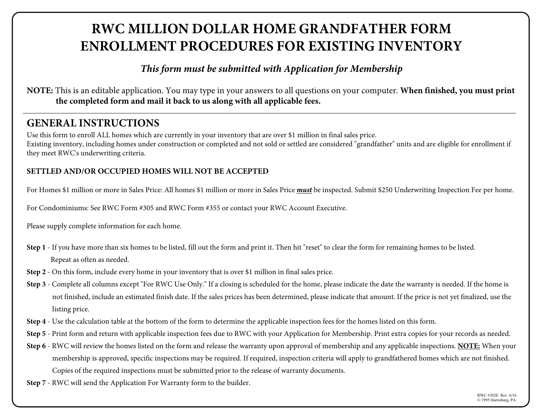# **RWC MILLION DOLLAR HOME GRANDFATHER FORM ENROLLMENT PROCEDURES FOR EXISTING INVENTORY**

*This form must be submitted with Application for Membership*

**NOTE:** This is an editable application. You may type in your answers to all questions on your computer. **When finished, you must print the completed form and mail it back to us along with all applicable fees.** 

# **GENERAL INSTRUCTIONS**

Use this form to enroll ALL homes which are currently in your inventory that are over \$1 million in final sales price. Existing inventory, including homes under construction or completed and not sold or settled are considered "grandfather" units and are eligible for enrollment if they meet RWC's underwriting criteria.

# **SETTLED AND/OR OCCUPIED HOMES WILL NOT BE ACCEPTED**

For Homes \$1 million or more in Sales Price: All homes \$1 million or more in Sales Price *must* be inspected. Submit \$250 Underwriting Inspection Fee per home.

For Condominiums: See RWC Form #305 and RWC Form #355 or contact your RWC Account Executive.

Please supply complete information for each home.

- **Step 1** If you have more than six homes to be listed, fill out the form and print it. Then hit "reset" to clear the form for remaining homes to be listed. Repeat as often as needed.
- **Step 2** On this form, include every home in your inventory that is over \$1 million in final sales price.
- **Step 3** Complete all columns except "For RWC Use Only." If a closing is scheduled for the home, please indicate the date the warranty is needed. If the home is not finished, include an estimated finish date. If the sales prices has been determined, please indicate that amount. If the price is not yet finalized, use the listing price.
- **Step 4** Use the calculation table at the bottom of the form to determine the applicable inspection fees for the homes listed on this form.
- **Step 5** Print form and return with applicable inspection fees due to RWC with your Application for Membership. Print extra copies for your records as needed.
- **Step 6** RWC will review the homes listed on the form and release the warranty upon approval of membership and any applicable inspections. **NOTE:** When your membership is approved, specific inspections may be required. If required, inspection criteria will apply to grandfathered homes which are not finished. Copies of the required inspections must be submitted prior to the release of warranty documents.
- **Step 7** RWC will send the Application For Warranty form to the builder.